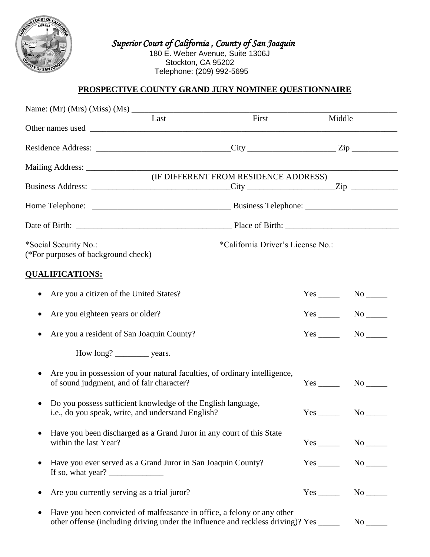

 *Superior Court of California , County of San Joaquin*  180 E. Weber Avenue, Suite 1306J Stockton, CA 95202 Telephone: (209) 992-5695

# **PROSPECTIVE COUNTY GRAND JURY NOMINEE QUESTIONNAIRE**

|                                                                                                                                                                                                                                                                                                                                                                                                                                                                                                | Last | First                                                                                                                                                            |                        | Middle                                                  |  |
|------------------------------------------------------------------------------------------------------------------------------------------------------------------------------------------------------------------------------------------------------------------------------------------------------------------------------------------------------------------------------------------------------------------------------------------------------------------------------------------------|------|------------------------------------------------------------------------------------------------------------------------------------------------------------------|------------------------|---------------------------------------------------------|--|
|                                                                                                                                                                                                                                                                                                                                                                                                                                                                                                |      |                                                                                                                                                                  |                        |                                                         |  |
|                                                                                                                                                                                                                                                                                                                                                                                                                                                                                                |      |                                                                                                                                                                  |                        |                                                         |  |
|                                                                                                                                                                                                                                                                                                                                                                                                                                                                                                |      | (IF DIFFERENT FROM RESIDENCE ADDRESS)                                                                                                                            |                        |                                                         |  |
|                                                                                                                                                                                                                                                                                                                                                                                                                                                                                                |      |                                                                                                                                                                  |                        |                                                         |  |
|                                                                                                                                                                                                                                                                                                                                                                                                                                                                                                |      |                                                                                                                                                                  |                        |                                                         |  |
|                                                                                                                                                                                                                                                                                                                                                                                                                                                                                                |      |                                                                                                                                                                  |                        |                                                         |  |
|                                                                                                                                                                                                                                                                                                                                                                                                                                                                                                |      |                                                                                                                                                                  |                        |                                                         |  |
| (*For purposes of background check)                                                                                                                                                                                                                                                                                                                                                                                                                                                            |      |                                                                                                                                                                  |                        |                                                         |  |
| <b>QUALIFICATIONS:</b>                                                                                                                                                                                                                                                                                                                                                                                                                                                                         |      |                                                                                                                                                                  |                        |                                                         |  |
| Are you a citizen of the United States?                                                                                                                                                                                                                                                                                                                                                                                                                                                        |      |                                                                                                                                                                  |                        | $Yes \t\t No \t\t No$                                   |  |
| Are you eighteen years or older?                                                                                                                                                                                                                                                                                                                                                                                                                                                               |      |                                                                                                                                                                  |                        | $Yes$ No $N$                                            |  |
| Are you a resident of San Joaquin County?<br>٠                                                                                                                                                                                                                                                                                                                                                                                                                                                 |      |                                                                                                                                                                  |                        | $Yes$ No $\rule{1em}{0.15mm}$ No $\rule{1.5mm}{0.15mm}$ |  |
| How long? ____________ years.                                                                                                                                                                                                                                                                                                                                                                                                                                                                  |      |                                                                                                                                                                  |                        |                                                         |  |
| $\bullet$<br>of sound judgment, and of fair character?                                                                                                                                                                                                                                                                                                                                                                                                                                         |      | Are you in possession of your natural faculties, of ordinary intelligence,                                                                                       | $Yes$ <sub>_____</sub> | No                                                      |  |
| Do you possess sufficient knowledge of the English language,<br>$\bullet$<br>i.e., do you speak, write, and understand English?                                                                                                                                                                                                                                                                                                                                                                |      |                                                                                                                                                                  | $No$ <sub>______</sub> |                                                         |  |
| Have you been discharged as a Grand Juror in any court of this State<br>within the last Year?                                                                                                                                                                                                                                                                                                                                                                                                  |      |                                                                                                                                                                  |                        | Yes No No                                               |  |
| Have you ever served as a Grand Juror in San Joaquin County?<br>$\bullet$<br>If so, what year? $\frac{1}{\sqrt{1-\frac{1}{\sqrt{1-\frac{1}{\sqrt{1-\frac{1}{\sqrt{1-\frac{1}{\sqrt{1-\frac{1}{\sqrt{1-\frac{1}{\sqrt{1-\frac{1}{\sqrt{1-\frac{1}{\sqrt{1-\frac{1}{\sqrt{1-\frac{1}{\sqrt{1-\frac{1}{\sqrt{1-\frac{1}{\sqrt{1-\frac{1}{\sqrt{1-\frac{1}{\sqrt{1-\frac{1}{\sqrt{1-\frac{1}{\sqrt{1-\frac{1}{\sqrt{1-\frac{1}{\sqrt{1-\frac{1}{\sqrt{1-\frac{1}{\sqrt{1-\frac{1}{\sqrt{1-\frac{1$ |      |                                                                                                                                                                  |                        | $Yes$ No $N$                                            |  |
| Are you currently serving as a trial juror?                                                                                                                                                                                                                                                                                                                                                                                                                                                    |      |                                                                                                                                                                  |                        |                                                         |  |
|                                                                                                                                                                                                                                                                                                                                                                                                                                                                                                |      | Have you been convicted of malfeasance in office, a felony or any other<br>other offense (including driving under the influence and reckless driving)? Yes _____ |                        | $No$ <sub>______</sub>                                  |  |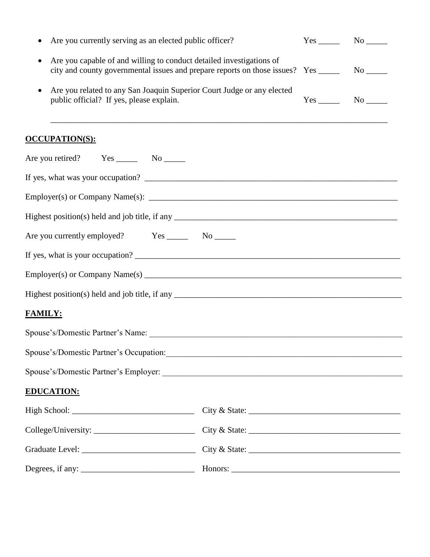| Are you currently serving as an elected public officer?<br>٠                                                                                                                           |  | $Yes$ No $N$ |
|----------------------------------------------------------------------------------------------------------------------------------------------------------------------------------------|--|--------------|
| Are you capable of and willing to conduct detailed investigations of<br>$\bullet$<br>city and county governmental issues and prepare reports on those issues? Yes _________ No _______ |  |              |
| Are you related to any San Joaquin Superior Court Judge or any elected<br>$\bullet$<br>public official? If yes, please explain.                                                        |  | $Yes$ No     |
| <u>OCCUPATION(S):</u>                                                                                                                                                                  |  |              |
| Are you retired? Yes _________ No ________                                                                                                                                             |  |              |
|                                                                                                                                                                                        |  |              |
|                                                                                                                                                                                        |  |              |
|                                                                                                                                                                                        |  |              |
| Are you currently employed? Yes _________ No _______                                                                                                                                   |  |              |
|                                                                                                                                                                                        |  |              |
|                                                                                                                                                                                        |  |              |
|                                                                                                                                                                                        |  |              |
| <b>FAMILY:</b>                                                                                                                                                                         |  |              |
|                                                                                                                                                                                        |  |              |
| Spouse's/Domestic Partner's Occupation:                                                                                                                                                |  |              |
|                                                                                                                                                                                        |  |              |
| <b>EDUCATION:</b>                                                                                                                                                                      |  |              |
|                                                                                                                                                                                        |  |              |
|                                                                                                                                                                                        |  |              |
|                                                                                                                                                                                        |  |              |
| Degrees, if any: $\frac{1}{2}$                                                                                                                                                         |  |              |
|                                                                                                                                                                                        |  |              |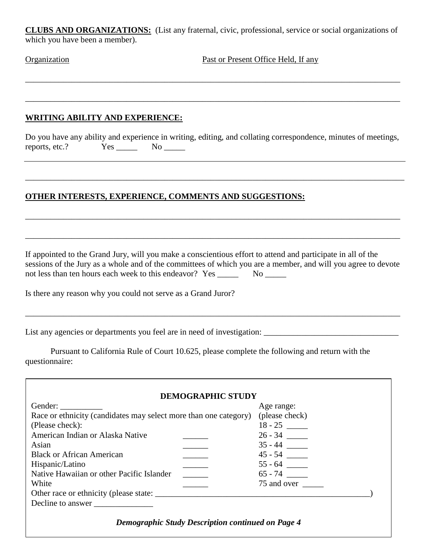**CLUBS AND ORGANIZATIONS:** (List any fraternal, civic, professional, service or social organizations of which you have been a member).

\_\_\_\_\_\_\_\_\_\_\_\_\_\_\_\_\_\_\_\_\_\_\_\_\_\_\_\_\_\_\_\_\_\_\_\_\_\_\_\_\_\_\_\_\_\_\_\_\_\_\_\_\_\_\_\_\_\_\_\_\_\_\_\_\_\_\_\_\_\_\_\_\_\_\_\_\_\_\_\_\_\_\_\_\_\_\_\_\_

\_\_\_\_\_\_\_\_\_\_\_\_\_\_\_\_\_\_\_\_\_\_\_\_\_\_\_\_\_\_\_\_\_\_\_\_\_\_\_\_\_\_\_\_\_\_\_\_\_\_\_\_\_\_\_\_\_\_\_\_\_\_\_\_\_\_\_\_\_\_\_\_\_\_\_\_\_\_\_\_\_\_\_\_\_\_\_\_\_

**Organization** Past or Present Office Held, If any

\_\_\_\_\_\_\_\_\_\_\_\_\_\_\_\_\_\_\_\_\_\_\_\_\_\_\_\_\_\_\_\_\_\_\_\_\_\_\_\_\_\_\_\_\_\_\_\_\_\_\_\_\_\_\_\_\_\_\_\_\_\_\_\_\_\_\_\_\_\_\_\_\_\_\_\_\_\_\_\_\_\_\_\_\_\_\_\_\_

## **WRITING ABILITY AND EXPERIENCE:**

Do you have any ability and experience in writing, editing, and collating correspondence, minutes of meetings, reports, etc.? Yes \_\_\_\_\_\_ No \_\_\_\_\_

\_\_\_\_\_\_\_\_\_\_\_\_\_\_\_\_\_\_\_\_\_\_\_\_\_\_\_\_\_\_\_\_\_\_\_\_\_\_\_\_\_\_\_\_\_\_\_\_\_\_\_\_\_\_\_\_\_\_\_\_\_\_\_\_\_\_\_\_\_\_\_\_\_\_\_\_\_\_\_\_\_\_\_\_\_\_\_\_\_\_

\_\_\_\_\_\_\_\_\_\_\_\_\_\_\_\_\_\_\_\_\_\_\_\_\_\_\_\_\_\_\_\_\_\_\_\_\_\_\_\_\_\_\_\_\_\_\_\_\_\_\_\_\_\_\_\_\_\_\_\_\_\_\_\_\_\_\_\_\_\_\_\_\_\_\_\_\_\_\_\_\_\_\_\_\_\_\_\_\_

\_\_\_\_\_\_\_\_\_\_\_\_\_\_\_\_\_\_\_\_\_\_\_\_\_\_\_\_\_\_\_\_\_\_\_\_\_\_\_\_\_\_\_\_\_\_\_\_\_\_\_\_\_\_\_\_\_\_\_\_\_\_\_\_\_\_\_\_\_\_\_\_\_\_\_\_\_\_\_\_\_\_\_\_\_\_\_\_\_

# **OTHER INTERESTS, EXPERIENCE, COMMENTS AND SUGGESTIONS:**

If appointed to the Grand Jury, will you make a conscientious effort to attend and participate in all of the sessions of the Jury as a whole and of the committees of which you are a member, and will you agree to devote not less than ten hours each week to this endeavor? Yes \_\_\_\_\_\_\_\_ No \_\_\_\_\_\_

Is there any reason why you could not serve as a Grand Juror?

List any agencies or departments you feel are in need of investigation: \_\_\_\_\_\_\_\_\_\_\_\_\_\_\_\_\_\_\_\_\_\_\_\_\_\_\_\_\_\_\_\_

Pursuant to California Rule of Court 10.625, please complete the following and return with the questionnaire:

| Gender:                                                          | Age range:     |
|------------------------------------------------------------------|----------------|
| Race or ethnicity (candidates may select more than one category) | (please check) |
| (Please check):                                                  | $18 - 25$      |
| American Indian or Alaska Native                                 |                |
| Asian                                                            |                |
| <b>Black or African American</b>                                 | $45 - 54$      |
| Hispanic/Latino                                                  |                |
| Native Hawaiian or other Pacific Islander                        | $65 - 74$      |
| White                                                            | 75 and over    |
|                                                                  |                |
| Decline to answer                                                |                |